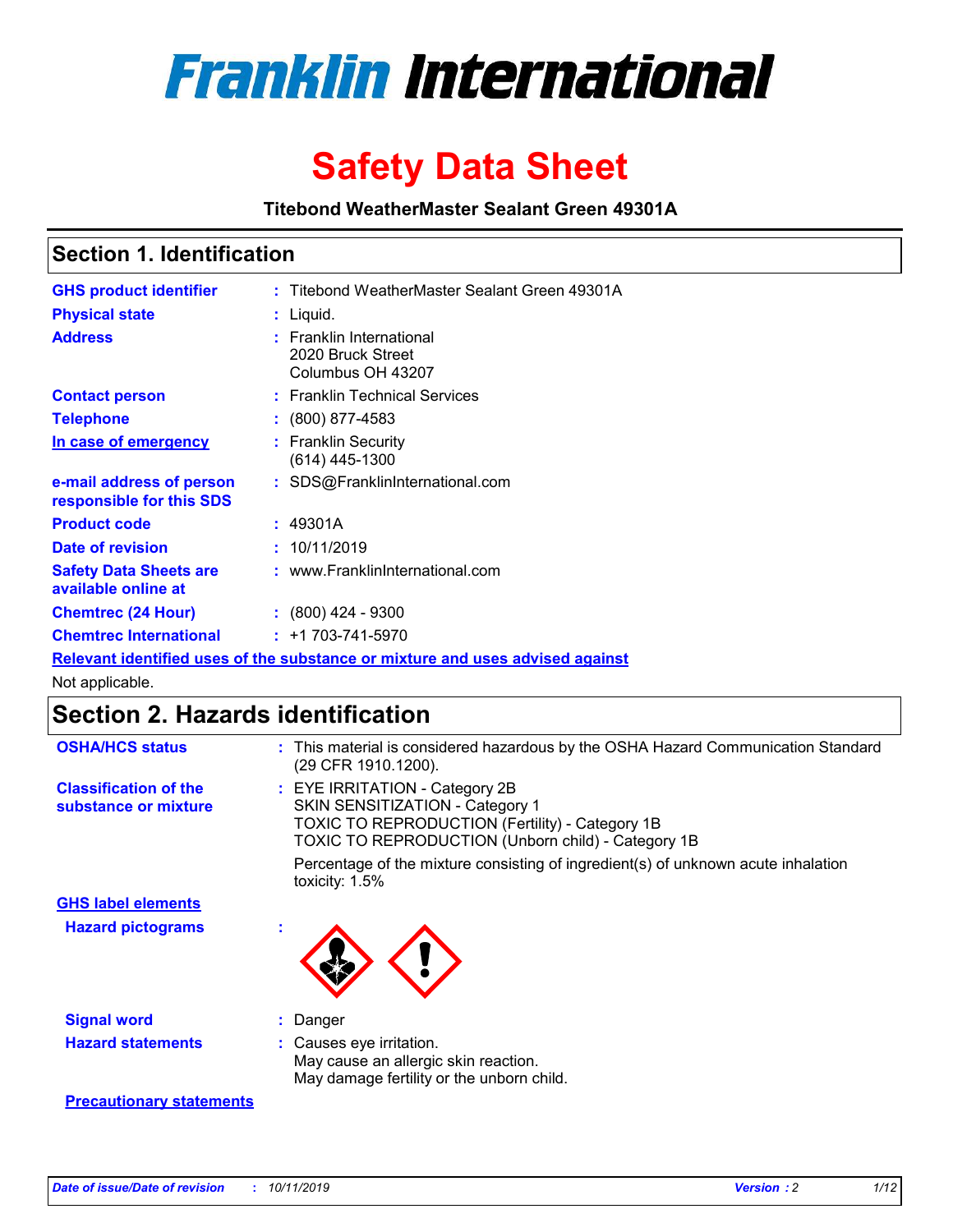

# **Safety Data Sheet**

**Titebond WeatherMaster Sealant Green 49301A**

### **Section 1. Identification**

| <b>GHS product identifier</b>                        | : Titebond WeatherMaster Sealant Green 49301A                                 |  |
|------------------------------------------------------|-------------------------------------------------------------------------------|--|
| <b>Physical state</b>                                | : Liquid.                                                                     |  |
| <b>Address</b>                                       | <b>Franklin International</b><br>2020 Bruck Street<br>Columbus OH 43207       |  |
| <b>Contact person</b>                                | : Franklin Technical Services                                                 |  |
| <b>Telephone</b>                                     | $\colon$ (800) 877-4583                                                       |  |
| In case of emergency                                 | : Franklin Security<br>(614) 445-1300                                         |  |
| e-mail address of person<br>responsible for this SDS | : SDS@FranklinInternational.com                                               |  |
| <b>Product code</b>                                  | : 49301A                                                                      |  |
| Date of revision                                     | : 10/11/2019                                                                  |  |
| <b>Safety Data Sheets are</b><br>available online at | : www.FranklinInternational.com                                               |  |
| <b>Chemtrec (24 Hour)</b>                            | $\cdot$ (800) 424 - 9300                                                      |  |
| <b>Chemtrec International</b>                        | $: +1703 - 741 - 5970$                                                        |  |
|                                                      | Relevant identified uses of the substance or mixture and uses advised against |  |

Not applicable.

## **Section 2. Hazards identification**

| <b>OSHA/HCS status</b>                               | : This material is considered hazardous by the OSHA Hazard Communication Standard<br>(29 CFR 1910.1200).                                                                          |
|------------------------------------------------------|-----------------------------------------------------------------------------------------------------------------------------------------------------------------------------------|
| <b>Classification of the</b><br>substance or mixture | : EYE IRRITATION - Category 2B<br>SKIN SENSITIZATION - Category 1<br><b>TOXIC TO REPRODUCTION (Fertility) - Category 1B</b><br>TOXIC TO REPRODUCTION (Unborn child) - Category 1B |
|                                                      | Percentage of the mixture consisting of ingredient(s) of unknown acute inhalation<br>toxicity: $1.5\%$                                                                            |
| <b>GHS label elements</b>                            |                                                                                                                                                                                   |
| <b>Hazard pictograms</b>                             |                                                                                                                                                                                   |
| <b>Signal word</b>                                   | : Danger                                                                                                                                                                          |
| <b>Hazard statements</b>                             | : Causes eye irritation.<br>May cause an allergic skin reaction.<br>May damage fertility or the unborn child.                                                                     |
| <b>Precautionary statements</b>                      |                                                                                                                                                                                   |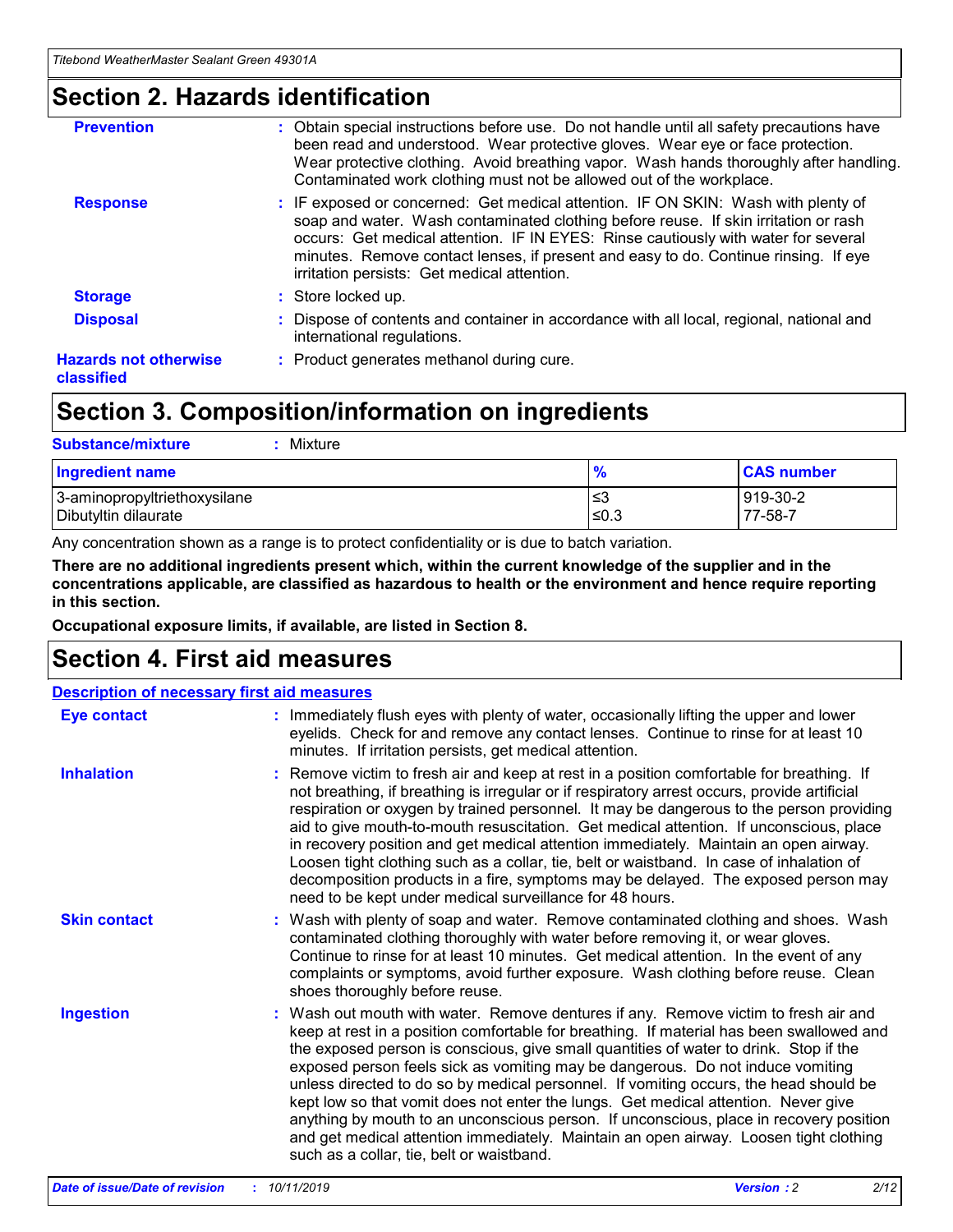### **Section 2. Hazards identification**

| <b>Prevention</b>                          | : Obtain special instructions before use. Do not handle until all safety precautions have<br>been read and understood. Wear protective gloves. Wear eye or face protection.<br>Wear protective clothing. Avoid breathing vapor. Wash hands thoroughly after handling.<br>Contaminated work clothing must not be allowed out of the workplace.                                                        |
|--------------------------------------------|------------------------------------------------------------------------------------------------------------------------------------------------------------------------------------------------------------------------------------------------------------------------------------------------------------------------------------------------------------------------------------------------------|
| <b>Response</b>                            | : IF exposed or concerned: Get medical attention. IF ON SKIN: Wash with plenty of<br>soap and water. Wash contaminated clothing before reuse. If skin irritation or rash<br>occurs: Get medical attention. IF IN EYES: Rinse cautiously with water for several<br>minutes. Remove contact lenses, if present and easy to do. Continue rinsing. If eye<br>irritation persists: Get medical attention. |
| <b>Storage</b>                             | : Store locked up.                                                                                                                                                                                                                                                                                                                                                                                   |
| <b>Disposal</b>                            | : Dispose of contents and container in accordance with all local, regional, national and<br>international regulations.                                                                                                                                                                                                                                                                               |
| <b>Hazards not otherwise</b><br>classified | : Product generates methanol during cure.                                                                                                                                                                                                                                                                                                                                                            |
|                                            |                                                                                                                                                                                                                                                                                                                                                                                                      |

### **Section 3. Composition/information on ingredients**

| <b>Substance/mixture</b><br>Mixture                  |                   |                     |
|------------------------------------------------------|-------------------|---------------------|
| Ingredient name                                      | $\frac{9}{6}$     | <b>CAS number</b>   |
| 3-aminopropyltriethoxysilane<br>Dibutyltin dilaurate | l≤3<br>$\leq 0.3$ | 919-30-2<br>77-58-7 |

Any concentration shown as a range is to protect confidentiality or is due to batch variation.

**There are no additional ingredients present which, within the current knowledge of the supplier and in the concentrations applicable, are classified as hazardous to health or the environment and hence require reporting in this section.**

**Occupational exposure limits, if available, are listed in Section 8.**

### **Section 4. First aid measures**

| <b>Description of necessary first aid measures</b> |                                                                                                                                                                                                                                                                                                                                                                                                                                                                                                                                                                                                                                                                                                                                                                           |  |  |  |
|----------------------------------------------------|---------------------------------------------------------------------------------------------------------------------------------------------------------------------------------------------------------------------------------------------------------------------------------------------------------------------------------------------------------------------------------------------------------------------------------------------------------------------------------------------------------------------------------------------------------------------------------------------------------------------------------------------------------------------------------------------------------------------------------------------------------------------------|--|--|--|
| <b>Eye contact</b>                                 | : Immediately flush eyes with plenty of water, occasionally lifting the upper and lower<br>eyelids. Check for and remove any contact lenses. Continue to rinse for at least 10<br>minutes. If irritation persists, get medical attention.                                                                                                                                                                                                                                                                                                                                                                                                                                                                                                                                 |  |  |  |
| <b>Inhalation</b>                                  | : Remove victim to fresh air and keep at rest in a position comfortable for breathing. If<br>not breathing, if breathing is irregular or if respiratory arrest occurs, provide artificial<br>respiration or oxygen by trained personnel. It may be dangerous to the person providing<br>aid to give mouth-to-mouth resuscitation. Get medical attention. If unconscious, place<br>in recovery position and get medical attention immediately. Maintain an open airway.<br>Loosen tight clothing such as a collar, tie, belt or waistband. In case of inhalation of<br>decomposition products in a fire, symptoms may be delayed. The exposed person may<br>need to be kept under medical surveillance for 48 hours.                                                       |  |  |  |
| <b>Skin contact</b>                                | : Wash with plenty of soap and water. Remove contaminated clothing and shoes. Wash<br>contaminated clothing thoroughly with water before removing it, or wear gloves.<br>Continue to rinse for at least 10 minutes. Get medical attention. In the event of any<br>complaints or symptoms, avoid further exposure. Wash clothing before reuse. Clean<br>shoes thoroughly before reuse.                                                                                                                                                                                                                                                                                                                                                                                     |  |  |  |
| <b>Ingestion</b>                                   | : Wash out mouth with water. Remove dentures if any. Remove victim to fresh air and<br>keep at rest in a position comfortable for breathing. If material has been swallowed and<br>the exposed person is conscious, give small quantities of water to drink. Stop if the<br>exposed person feels sick as vomiting may be dangerous. Do not induce vomiting<br>unless directed to do so by medical personnel. If vomiting occurs, the head should be<br>kept low so that vomit does not enter the lungs. Get medical attention. Never give<br>anything by mouth to an unconscious person. If unconscious, place in recovery position<br>and get medical attention immediately. Maintain an open airway. Loosen tight clothing<br>such as a collar, tie, belt or waistband. |  |  |  |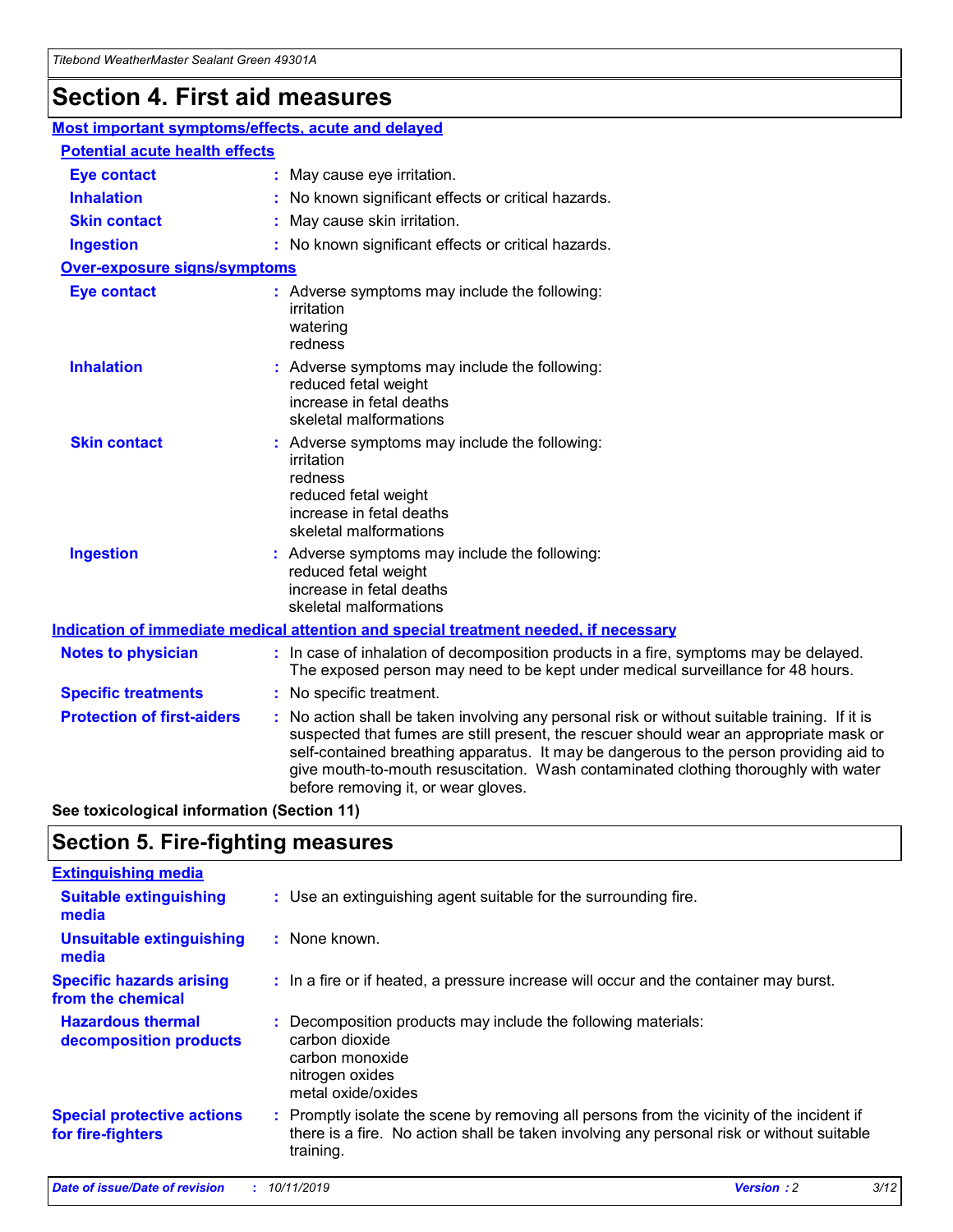## **Section 4. First aid measures**

| Most important symptoms/effects, acute and delayed |                                       |                                                                                                                                                                                                                                                                                                                                                                                                                 |  |  |  |
|----------------------------------------------------|---------------------------------------|-----------------------------------------------------------------------------------------------------------------------------------------------------------------------------------------------------------------------------------------------------------------------------------------------------------------------------------------------------------------------------------------------------------------|--|--|--|
|                                                    | <b>Potential acute health effects</b> |                                                                                                                                                                                                                                                                                                                                                                                                                 |  |  |  |
| Eye contact                                        |                                       | : May cause eye irritation.                                                                                                                                                                                                                                                                                                                                                                                     |  |  |  |
| <b>Inhalation</b>                                  |                                       | : No known significant effects or critical hazards.                                                                                                                                                                                                                                                                                                                                                             |  |  |  |
| <b>Skin contact</b>                                |                                       | : May cause skin irritation.                                                                                                                                                                                                                                                                                                                                                                                    |  |  |  |
| <b>Ingestion</b>                                   |                                       | : No known significant effects or critical hazards.                                                                                                                                                                                                                                                                                                                                                             |  |  |  |
| Over-exposure signs/symptoms                       |                                       |                                                                                                                                                                                                                                                                                                                                                                                                                 |  |  |  |
| <b>Eye contact</b>                                 |                                       | : Adverse symptoms may include the following:<br>irritation<br>watering<br>redness                                                                                                                                                                                                                                                                                                                              |  |  |  |
| <b>Inhalation</b>                                  |                                       | : Adverse symptoms may include the following:<br>reduced fetal weight<br>increase in fetal deaths<br>skeletal malformations                                                                                                                                                                                                                                                                                     |  |  |  |
| <b>Skin contact</b>                                |                                       | : Adverse symptoms may include the following:<br>irritation<br>redness<br>reduced fetal weight<br>increase in fetal deaths<br>skeletal malformations                                                                                                                                                                                                                                                            |  |  |  |
| <b>Ingestion</b>                                   |                                       | : Adverse symptoms may include the following:<br>reduced fetal weight<br>increase in fetal deaths<br>skeletal malformations                                                                                                                                                                                                                                                                                     |  |  |  |
|                                                    |                                       | <b>Indication of immediate medical attention and special treatment needed, if necessary</b>                                                                                                                                                                                                                                                                                                                     |  |  |  |
| <b>Notes to physician</b>                          |                                       | : In case of inhalation of decomposition products in a fire, symptoms may be delayed.<br>The exposed person may need to be kept under medical surveillance for 48 hours.                                                                                                                                                                                                                                        |  |  |  |
| <b>Specific treatments</b>                         |                                       | : No specific treatment.                                                                                                                                                                                                                                                                                                                                                                                        |  |  |  |
| <b>Protection of first-aiders</b>                  |                                       | : No action shall be taken involving any personal risk or without suitable training. If it is<br>suspected that fumes are still present, the rescuer should wear an appropriate mask or<br>self-contained breathing apparatus. It may be dangerous to the person providing aid to<br>give mouth-to-mouth resuscitation. Wash contaminated clothing thoroughly with water<br>before removing it, or wear gloves. |  |  |  |

**See toxicological information (Section 11)**

### **Section 5. Fire-fighting measures**

| <b>Extinguishing media</b>                             |                                                                                                                                                                                                     |
|--------------------------------------------------------|-----------------------------------------------------------------------------------------------------------------------------------------------------------------------------------------------------|
| <b>Suitable extinguishing</b><br>media                 | : Use an extinguishing agent suitable for the surrounding fire.                                                                                                                                     |
| <b>Unsuitable extinguishing</b><br>media               | $:$ None known.                                                                                                                                                                                     |
| <b>Specific hazards arising</b><br>from the chemical   | : In a fire or if heated, a pressure increase will occur and the container may burst.                                                                                                               |
| <b>Hazardous thermal</b><br>decomposition products     | : Decomposition products may include the following materials:<br>carbon dioxide<br>carbon monoxide<br>nitrogen oxides<br>metal oxide/oxides                                                         |
| <b>Special protective actions</b><br>for fire-fighters | : Promptly isolate the scene by removing all persons from the vicinity of the incident if<br>there is a fire. No action shall be taken involving any personal risk or without suitable<br>training. |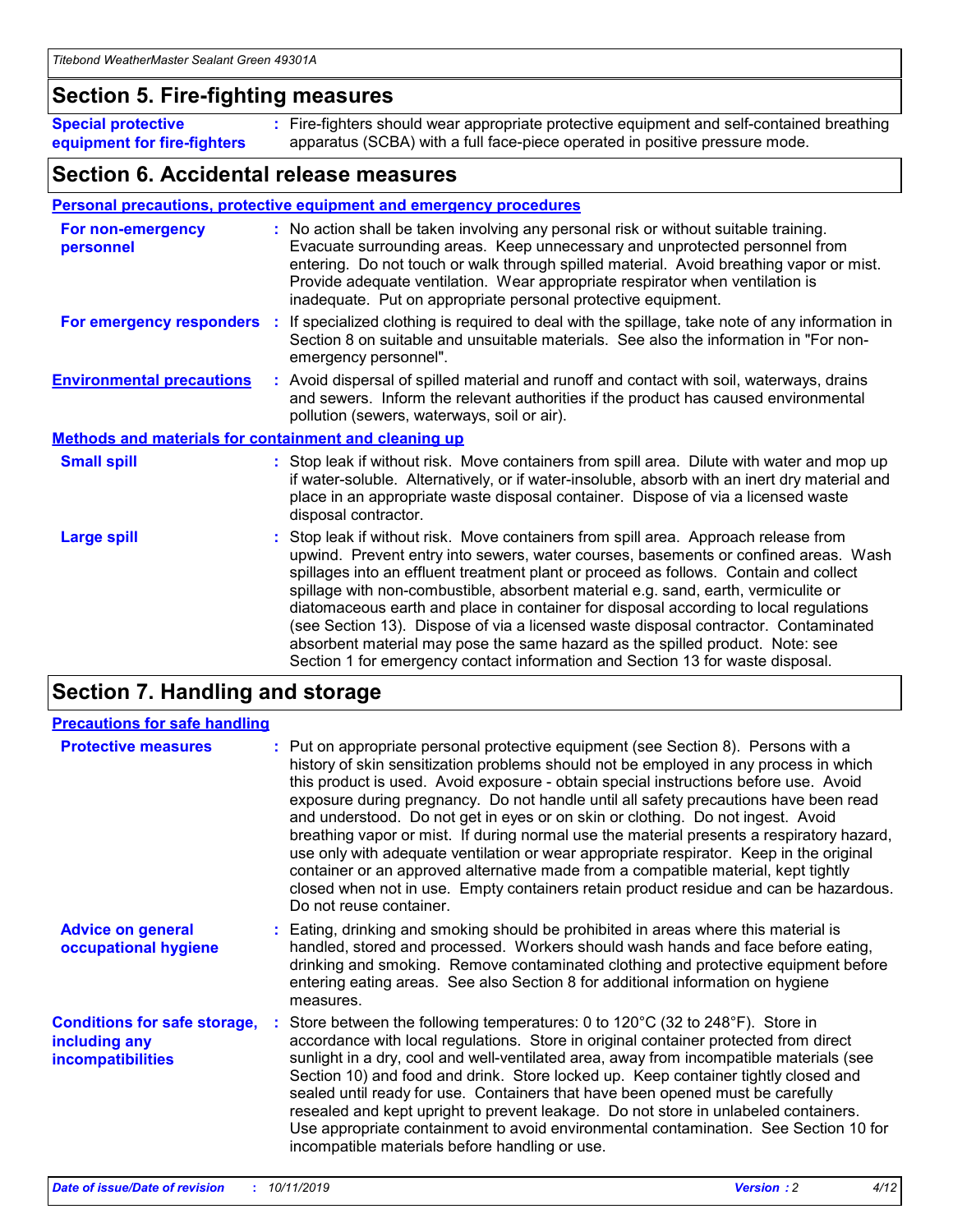### **Section 5. Fire-fighting measures**

**Special protective equipment for fire-fighters** Fire-fighters should wear appropriate protective equipment and self-contained breathing **:** apparatus (SCBA) with a full face-piece operated in positive pressure mode.

### **Section 6. Accidental release measures**

#### **Personal precautions, protective equipment and emergency procedures**

| For non-emergency<br>personnel                               | : No action shall be taken involving any personal risk or without suitable training.<br>Evacuate surrounding areas. Keep unnecessary and unprotected personnel from<br>entering. Do not touch or walk through spilled material. Avoid breathing vapor or mist.<br>Provide adequate ventilation. Wear appropriate respirator when ventilation is<br>inadequate. Put on appropriate personal protective equipment.                                                                                                                                                                                                                                                                                             |
|--------------------------------------------------------------|--------------------------------------------------------------------------------------------------------------------------------------------------------------------------------------------------------------------------------------------------------------------------------------------------------------------------------------------------------------------------------------------------------------------------------------------------------------------------------------------------------------------------------------------------------------------------------------------------------------------------------------------------------------------------------------------------------------|
|                                                              | For emergency responders : If specialized clothing is required to deal with the spillage, take note of any information in<br>Section 8 on suitable and unsuitable materials. See also the information in "For non-<br>emergency personnel".                                                                                                                                                                                                                                                                                                                                                                                                                                                                  |
| <b>Environmental precautions</b>                             | : Avoid dispersal of spilled material and runoff and contact with soil, waterways, drains<br>and sewers. Inform the relevant authorities if the product has caused environmental<br>pollution (sewers, waterways, soil or air).                                                                                                                                                                                                                                                                                                                                                                                                                                                                              |
| <b>Methods and materials for containment and cleaning up</b> |                                                                                                                                                                                                                                                                                                                                                                                                                                                                                                                                                                                                                                                                                                              |
| <b>Small spill</b>                                           | : Stop leak if without risk. Move containers from spill area. Dilute with water and mop up<br>if water-soluble. Alternatively, or if water-insoluble, absorb with an inert dry material and<br>place in an appropriate waste disposal container. Dispose of via a licensed waste<br>disposal contractor.                                                                                                                                                                                                                                                                                                                                                                                                     |
| <b>Large spill</b>                                           | : Stop leak if without risk. Move containers from spill area. Approach release from<br>upwind. Prevent entry into sewers, water courses, basements or confined areas. Wash<br>spillages into an effluent treatment plant or proceed as follows. Contain and collect<br>spillage with non-combustible, absorbent material e.g. sand, earth, vermiculite or<br>diatomaceous earth and place in container for disposal according to local regulations<br>(see Section 13). Dispose of via a licensed waste disposal contractor. Contaminated<br>absorbent material may pose the same hazard as the spilled product. Note: see<br>Section 1 for emergency contact information and Section 13 for waste disposal. |

### **Section 7. Handling and storage**

| <b>Precautions for safe handling</b>                                             |                                                                                                                                                                                                                                                                                                                                                                                                                                                                                                                                                                                                                                                                                                                                                                                                                                                  |
|----------------------------------------------------------------------------------|--------------------------------------------------------------------------------------------------------------------------------------------------------------------------------------------------------------------------------------------------------------------------------------------------------------------------------------------------------------------------------------------------------------------------------------------------------------------------------------------------------------------------------------------------------------------------------------------------------------------------------------------------------------------------------------------------------------------------------------------------------------------------------------------------------------------------------------------------|
| <b>Protective measures</b>                                                       | : Put on appropriate personal protective equipment (see Section 8). Persons with a<br>history of skin sensitization problems should not be employed in any process in which<br>this product is used. Avoid exposure - obtain special instructions before use. Avoid<br>exposure during pregnancy. Do not handle until all safety precautions have been read<br>and understood. Do not get in eyes or on skin or clothing. Do not ingest. Avoid<br>breathing vapor or mist. If during normal use the material presents a respiratory hazard,<br>use only with adequate ventilation or wear appropriate respirator. Keep in the original<br>container or an approved alternative made from a compatible material, kept tightly<br>closed when not in use. Empty containers retain product residue and can be hazardous.<br>Do not reuse container. |
| <b>Advice on general</b><br>occupational hygiene                                 | : Eating, drinking and smoking should be prohibited in areas where this material is<br>handled, stored and processed. Workers should wash hands and face before eating,<br>drinking and smoking. Remove contaminated clothing and protective equipment before<br>entering eating areas. See also Section 8 for additional information on hygiene<br>measures.                                                                                                                                                                                                                                                                                                                                                                                                                                                                                    |
| <b>Conditions for safe storage,</b><br>including any<br><b>incompatibilities</b> | Store between the following temperatures: 0 to 120 $^{\circ}$ C (32 to 248 $^{\circ}$ F). Store in<br>accordance with local regulations. Store in original container protected from direct<br>sunlight in a dry, cool and well-ventilated area, away from incompatible materials (see<br>Section 10) and food and drink. Store locked up. Keep container tightly closed and<br>sealed until ready for use. Containers that have been opened must be carefully<br>resealed and kept upright to prevent leakage. Do not store in unlabeled containers.<br>Use appropriate containment to avoid environmental contamination. See Section 10 for<br>incompatible materials before handling or use.                                                                                                                                                   |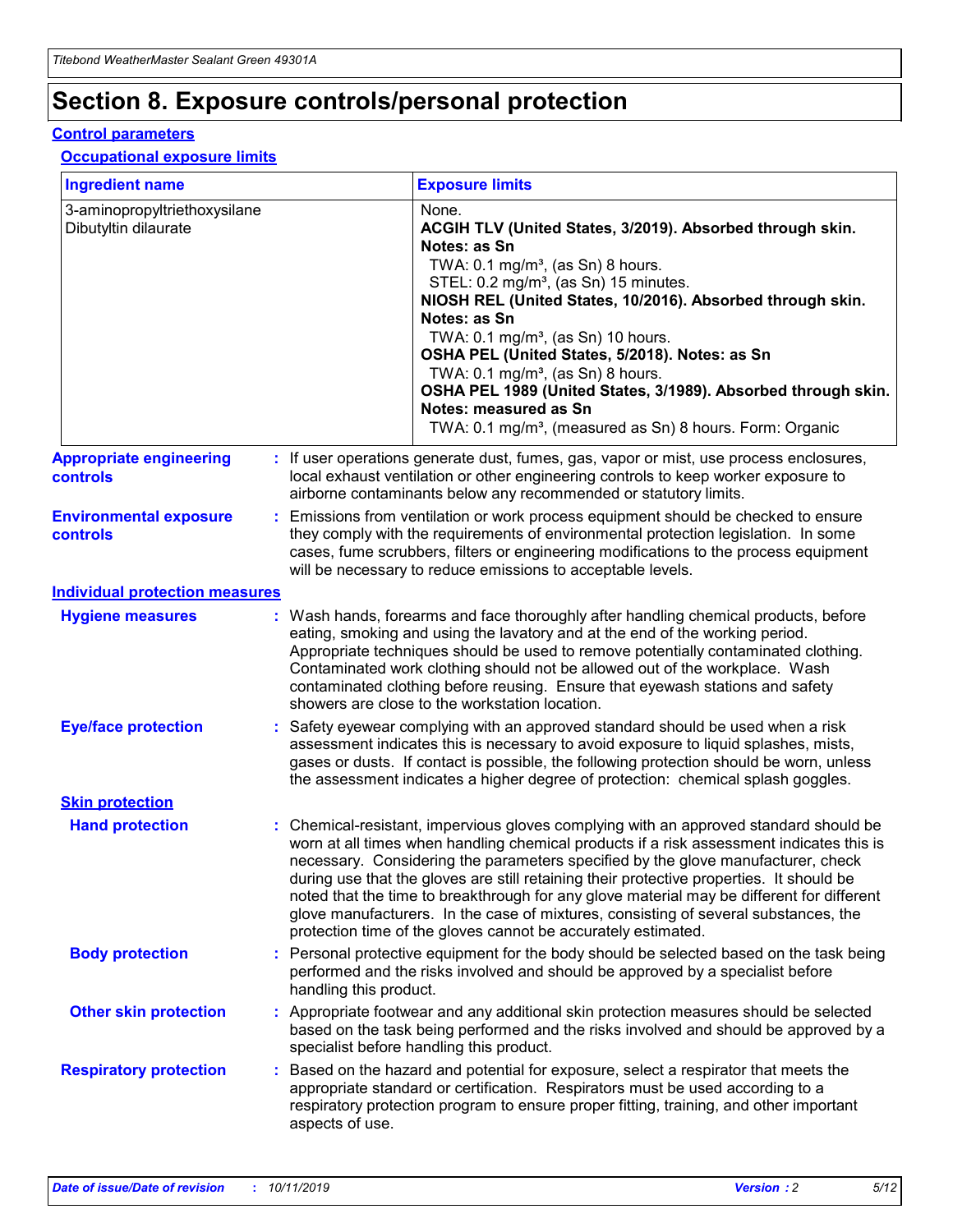## **Section 8. Exposure controls/personal protection**

#### **Control parameters**

#### **Occupational exposure limits**

| <b>Ingredient name</b>                               |    |                        | <b>Exposure limits</b>                                                                                                                                                                                                                                                                                                                                                                                                                                                                                                                                                                                                 |
|------------------------------------------------------|----|------------------------|------------------------------------------------------------------------------------------------------------------------------------------------------------------------------------------------------------------------------------------------------------------------------------------------------------------------------------------------------------------------------------------------------------------------------------------------------------------------------------------------------------------------------------------------------------------------------------------------------------------------|
| 3-aminopropyltriethoxysilane<br>Dibutyltin dilaurate |    |                        | None.<br>ACGIH TLV (United States, 3/2019). Absorbed through skin.<br>Notes: as Sn<br>TWA: $0.1 \text{ mg/m}^3$ , (as Sn) 8 hours.<br>STEL: 0.2 mg/m <sup>3</sup> , (as Sn) 15 minutes.<br>NIOSH REL (United States, 10/2016). Absorbed through skin.<br>Notes: as Sn<br>TWA: 0.1 mg/m <sup>3</sup> , (as Sn) 10 hours.<br>OSHA PEL (United States, 5/2018). Notes: as Sn<br>TWA: $0.1 \text{ mg/m}^3$ , (as Sn) 8 hours.<br>OSHA PEL 1989 (United States, 3/1989). Absorbed through skin.<br>Notes: measured as Sn<br>TWA: 0.1 mg/m <sup>3</sup> , (measured as Sn) 8 hours. Form: Organic                            |
| <b>Appropriate engineering</b><br>controls           |    |                        | : If user operations generate dust, fumes, gas, vapor or mist, use process enclosures,<br>local exhaust ventilation or other engineering controls to keep worker exposure to<br>airborne contaminants below any recommended or statutory limits.                                                                                                                                                                                                                                                                                                                                                                       |
| <b>Environmental exposure</b><br>controls            |    |                        | Emissions from ventilation or work process equipment should be checked to ensure<br>they comply with the requirements of environmental protection legislation. In some<br>cases, fume scrubbers, filters or engineering modifications to the process equipment<br>will be necessary to reduce emissions to acceptable levels.                                                                                                                                                                                                                                                                                          |
| <b>Individual protection measures</b>                |    |                        |                                                                                                                                                                                                                                                                                                                                                                                                                                                                                                                                                                                                                        |
| <b>Hygiene measures</b>                              |    |                        | : Wash hands, forearms and face thoroughly after handling chemical products, before<br>eating, smoking and using the lavatory and at the end of the working period.<br>Appropriate techniques should be used to remove potentially contaminated clothing.<br>Contaminated work clothing should not be allowed out of the workplace. Wash<br>contaminated clothing before reusing. Ensure that eyewash stations and safety<br>showers are close to the workstation location.                                                                                                                                            |
| <b>Eye/face protection</b>                           |    |                        | : Safety eyewear complying with an approved standard should be used when a risk<br>assessment indicates this is necessary to avoid exposure to liquid splashes, mists,<br>gases or dusts. If contact is possible, the following protection should be worn, unless<br>the assessment indicates a higher degree of protection: chemical splash goggles.                                                                                                                                                                                                                                                                  |
| <b>Skin protection</b>                               |    |                        |                                                                                                                                                                                                                                                                                                                                                                                                                                                                                                                                                                                                                        |
| <b>Hand protection</b>                               |    |                        | : Chemical-resistant, impervious gloves complying with an approved standard should be<br>worn at all times when handling chemical products if a risk assessment indicates this is<br>necessary. Considering the parameters specified by the glove manufacturer, check<br>during use that the gloves are still retaining their protective properties. It should be<br>noted that the time to breakthrough for any glove material may be different for different<br>glove manufacturers. In the case of mixtures, consisting of several substances, the<br>protection time of the gloves cannot be accurately estimated. |
| <b>Body protection</b>                               |    | handling this product. | Personal protective equipment for the body should be selected based on the task being<br>performed and the risks involved and should be approved by a specialist before                                                                                                                                                                                                                                                                                                                                                                                                                                                |
| <b>Other skin protection</b>                         |    |                        | : Appropriate footwear and any additional skin protection measures should be selected<br>based on the task being performed and the risks involved and should be approved by a<br>specialist before handling this product.                                                                                                                                                                                                                                                                                                                                                                                              |
| <b>Respiratory protection</b>                        | ÷. | aspects of use.        | Based on the hazard and potential for exposure, select a respirator that meets the<br>appropriate standard or certification. Respirators must be used according to a<br>respiratory protection program to ensure proper fitting, training, and other important                                                                                                                                                                                                                                                                                                                                                         |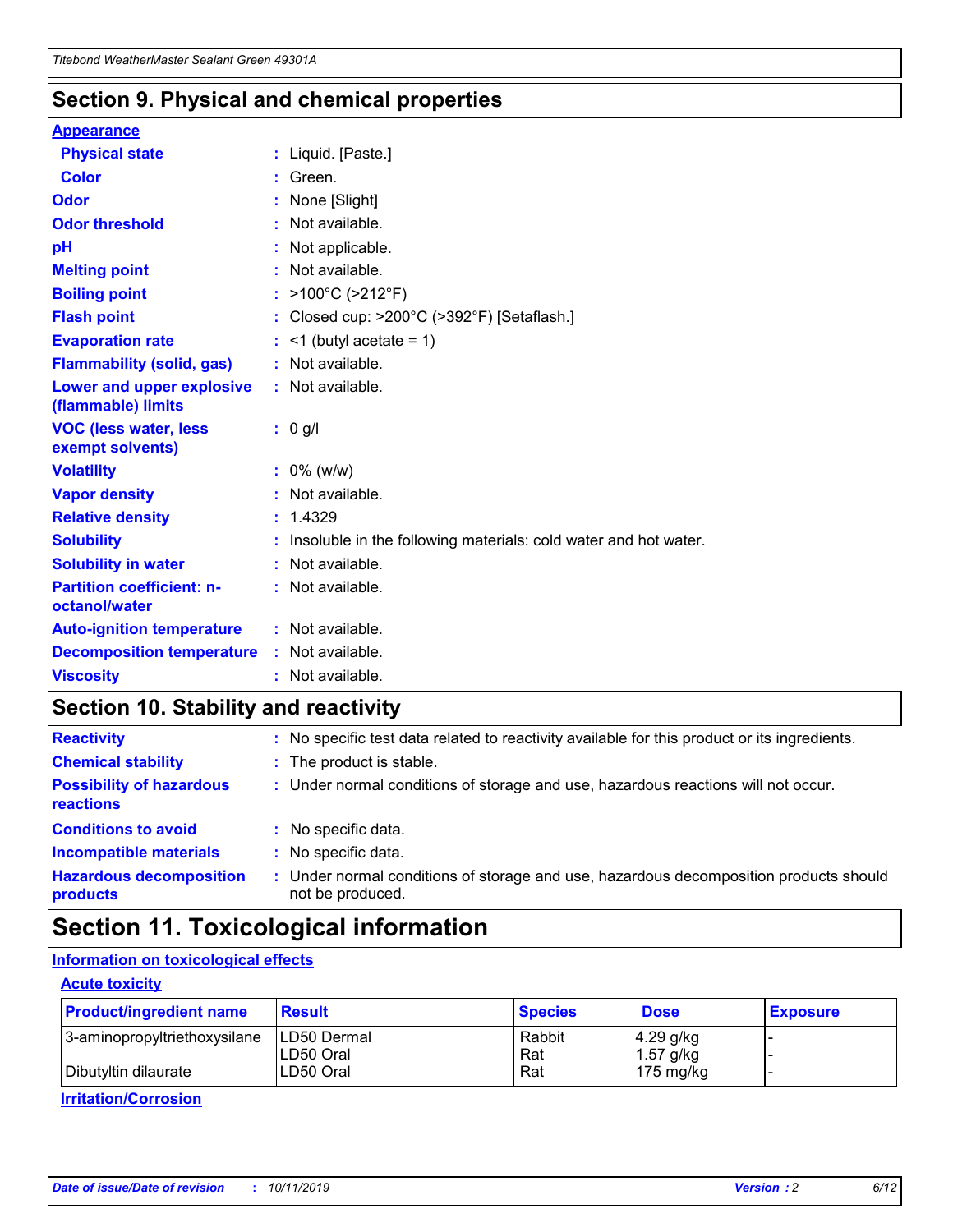### **Section 9. Physical and chemical properties**

#### **Appearance**

| <b>Physical state</b>                             | : Liquid. [Paste.]                                              |
|---------------------------------------------------|-----------------------------------------------------------------|
| Color                                             | Green.                                                          |
| Odor                                              | : None [Slight]                                                 |
| <b>Odor threshold</b>                             | : Not available.                                                |
| рH                                                | : Not applicable.                                               |
| <b>Melting point</b>                              | : Not available.                                                |
| <b>Boiling point</b>                              | : >100°C (>212°F)                                               |
| <b>Flash point</b>                                | : Closed cup: $>200^{\circ}$ C ( $>392^{\circ}$ F) [Setaflash.] |
| <b>Evaporation rate</b>                           | $:$ <1 (butyl acetate = 1)                                      |
| <b>Flammability (solid, gas)</b>                  | : Not available.                                                |
| Lower and upper explosive<br>(flammable) limits   | : Not available.                                                |
| <b>VOC (less water, less</b><br>exempt solvents)  | : 0 g/l                                                         |
| <b>Volatility</b>                                 | $: 0\%$ (w/w)                                                   |
| <b>Vapor density</b>                              | : Not available.                                                |
| <b>Relative density</b>                           | : 1.4329                                                        |
| <b>Solubility</b>                                 | Insoluble in the following materials: cold water and hot water. |
| <b>Solubility in water</b>                        | : Not available.                                                |
| <b>Partition coefficient: n-</b><br>octanol/water | $:$ Not available.                                              |
| <b>Auto-ignition temperature</b>                  | : Not available.                                                |
| <b>Decomposition temperature</b>                  | : Not available.                                                |
|                                                   |                                                                 |

### **Section 10. Stability and reactivity**

| <b>Reactivity</b>                            |    | : No specific test data related to reactivity available for this product or its ingredients.            |
|----------------------------------------------|----|---------------------------------------------------------------------------------------------------------|
| <b>Chemical stability</b>                    |    | : The product is stable.                                                                                |
| <b>Possibility of hazardous</b><br>reactions |    | : Under normal conditions of storage and use, hazardous reactions will not occur.                       |
| <b>Conditions to avoid</b>                   |    | : No specific data.                                                                                     |
| <b>Incompatible materials</b>                | ٠. | No specific data.                                                                                       |
| <b>Hazardous decomposition</b><br>products   | ÷. | Under normal conditions of storage and use, hazardous decomposition products should<br>not be produced. |

### **Section 11. Toxicological information**

### **Information on toxicological effects**

#### **Acute toxicity**

| <b>Product/ingredient name</b> | <b>Result</b>           | <b>Species</b> | <b>Dose</b>                | <b>Exposure</b> |
|--------------------------------|-------------------------|----------------|----------------------------|-----------------|
| 3-aminopropyltriethoxysilane   | <b>ILD50 Dermal</b>     | Rabbit         | 4.29 g/kg                  |                 |
| Dibutyltin dilaurate           | ILD50 Oral<br>LD50 Oral | Rat<br>Rat     | $1.57$ g/kg<br>175 $mg/kg$ |                 |
|                                |                         |                |                            |                 |

**Irritation/Corrosion**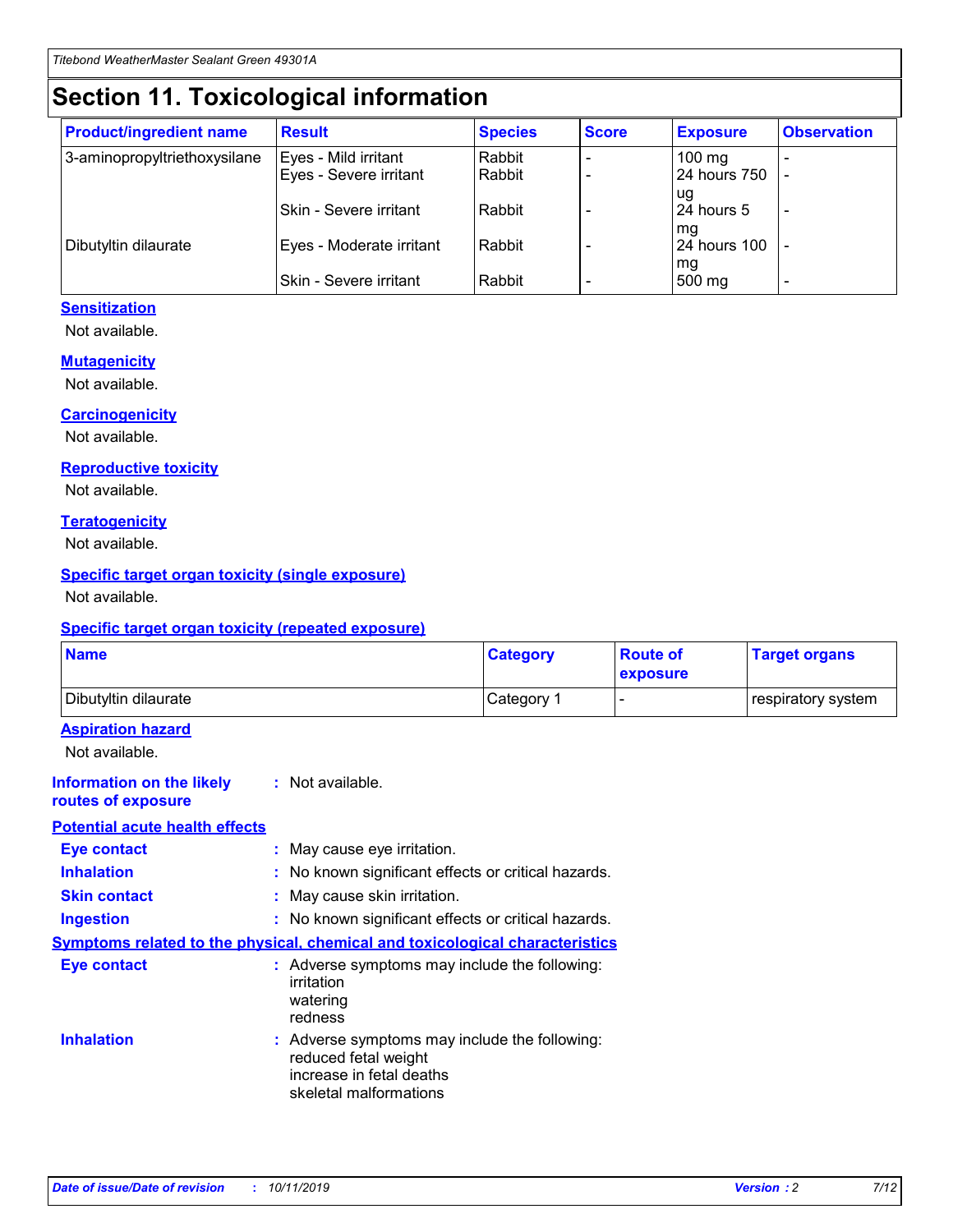## **Section 11. Toxicological information**

| <b>Product/ingredient name</b> | <b>Result</b>            | <b>Species</b> | <b>Score</b> | <b>Exposure</b>           | <b>Observation</b> |
|--------------------------------|--------------------------|----------------|--------------|---------------------------|--------------------|
| 3-aminopropyltriethoxysilane   | Eyes - Mild irritant     | Rabbit         |              | $100$ mg                  |                    |
|                                | Eyes - Severe irritant   | Rabbit         |              | 24 hours 750              |                    |
|                                |                          |                |              | ug                        |                    |
|                                | Skin - Severe irritant   | Rabbit         |              | 24 hours 5                | -                  |
| Dibutyltin dilaurate           | Eyes - Moderate irritant | Rabbit         |              | mq<br><b>24 hours 100</b> |                    |
|                                |                          |                |              | mg                        |                    |
|                                | Skin - Severe irritant   | Rabbit         |              | 500 mg                    |                    |

#### **Sensitization**

Not available.

#### **Mutagenicity**

Not available.

#### **Carcinogenicity**

Not available.

#### **Reproductive toxicity**

Not available.

#### **Teratogenicity**

Not available.

#### **Specific target organ toxicity (single exposure)**

Not available.

#### **Specific target organ toxicity (repeated exposure)**

| <b>Name</b>                                                                  |                                                                            | <b>Category</b>                                     | <b>Route of</b><br>exposure | <b>Target organs</b> |
|------------------------------------------------------------------------------|----------------------------------------------------------------------------|-----------------------------------------------------|-----------------------------|----------------------|
| Dibutyltin dilaurate                                                         |                                                                            | Category 1                                          | -                           | respiratory system   |
| <b>Aspiration hazard</b><br>Not available.                                   |                                                                            |                                                     |                             |                      |
| <b>Information on the likely</b><br>routes of exposure                       | : Not available.                                                           |                                                     |                             |                      |
| <b>Potential acute health effects</b>                                        |                                                                            |                                                     |                             |                      |
| <b>Eye contact</b>                                                           | : May cause eye irritation.                                                |                                                     |                             |                      |
| <b>Inhalation</b>                                                            |                                                                            | : No known significant effects or critical hazards. |                             |                      |
| <b>Skin contact</b>                                                          | : May cause skin irritation.                                               |                                                     |                             |                      |
| <b>Ingestion</b>                                                             |                                                                            | : No known significant effects or critical hazards. |                             |                      |
| Symptoms related to the physical, chemical and toxicological characteristics |                                                                            |                                                     |                             |                      |
| <b>Eye contact</b>                                                           | irritation<br>watering<br>redness                                          | : Adverse symptoms may include the following:       |                             |                      |
| <b>Inhalation</b>                                                            | reduced fetal weight<br>increase in fetal deaths<br>skeletal malformations | : Adverse symptoms may include the following:       |                             |                      |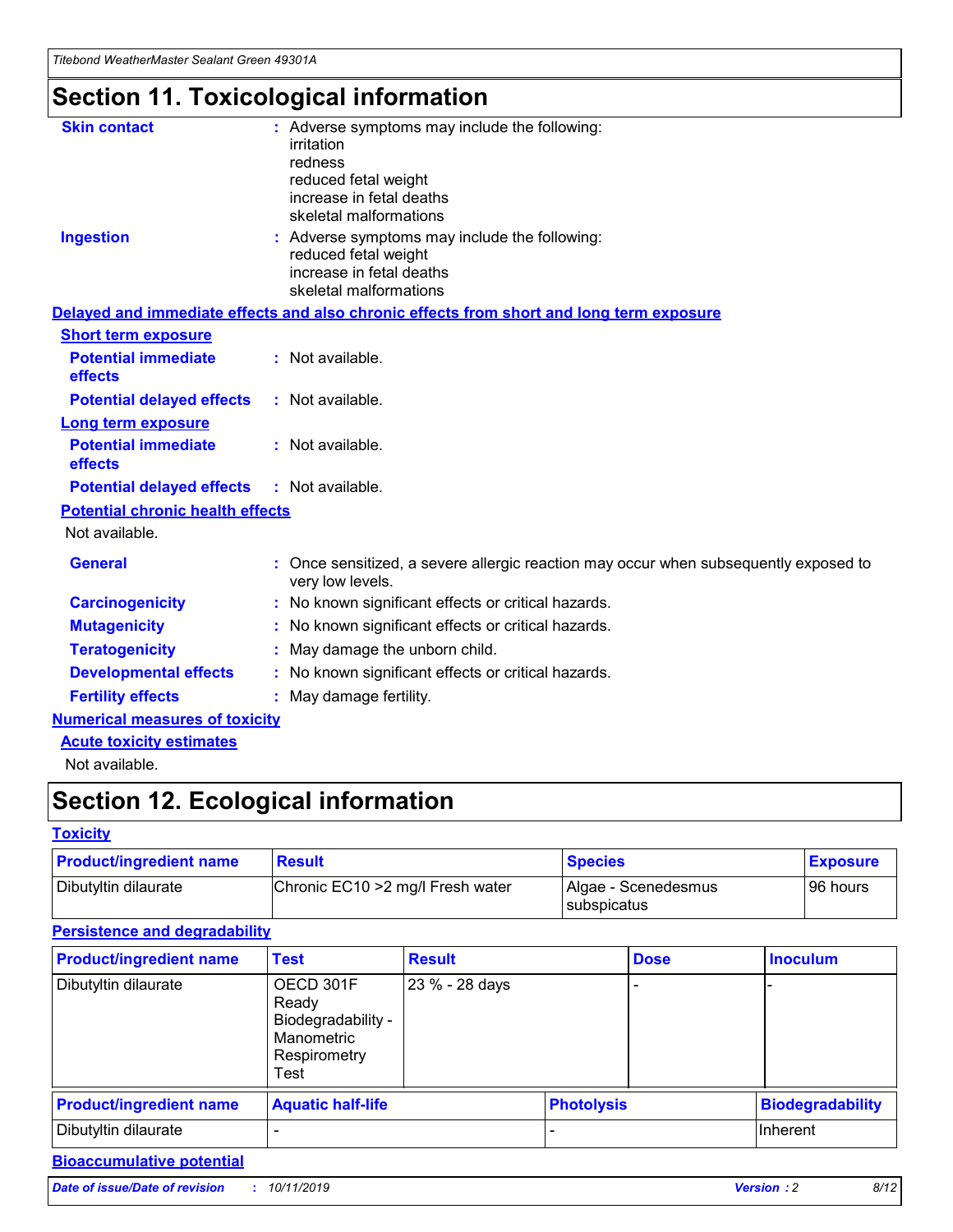## **Section 11. Toxicological information**

| <b>Skin contact</b>                     | : Adverse symptoms may include the following:<br>irritation<br>redness<br>reduced fetal weight<br>increase in fetal deaths<br>skeletal malformations |
|-----------------------------------------|------------------------------------------------------------------------------------------------------------------------------------------------------|
| <b>Ingestion</b>                        | : Adverse symptoms may include the following:<br>reduced fetal weight<br>increase in fetal deaths<br>skeletal malformations                          |
|                                         | Delayed and immediate effects and also chronic effects from short and long term exposure                                                             |
| <b>Short term exposure</b>              |                                                                                                                                                      |
| <b>Potential immediate</b><br>effects   | : Not available.                                                                                                                                     |
| <b>Potential delayed effects</b>        | : Not available.                                                                                                                                     |
| <b>Long term exposure</b>               |                                                                                                                                                      |
| <b>Potential immediate</b><br>effects   | : Not available.                                                                                                                                     |
| <b>Potential delayed effects</b>        | : Not available.                                                                                                                                     |
| <b>Potential chronic health effects</b> |                                                                                                                                                      |
| Not available.                          |                                                                                                                                                      |
| <b>General</b>                          | : Once sensitized, a severe allergic reaction may occur when subsequently exposed to<br>very low levels.                                             |
| <b>Carcinogenicity</b>                  | : No known significant effects or critical hazards.                                                                                                  |
| <b>Mutagenicity</b>                     | No known significant effects or critical hazards.                                                                                                    |
| <b>Teratogenicity</b>                   | May damage the unborn child.                                                                                                                         |
| <b>Developmental effects</b>            | No known significant effects or critical hazards.                                                                                                    |
| <b>Fertility effects</b>                | : May damage fertility.                                                                                                                              |
| <b>Numerical measures of toxicity</b>   |                                                                                                                                                      |
| <b>Acute toxicity estimates</b>         |                                                                                                                                                      |
|                                         |                                                                                                                                                      |

Not available.

## **Section 12. Ecological information**

#### **Toxicity**

| <b>Product/ingredient name</b> | <b>Result</b>                     | <b>Species</b>                       | <b>Exposure</b> |
|--------------------------------|-----------------------------------|--------------------------------------|-----------------|
| Dibutyltin dilaurate           | Chronic EC10 > 2 mg/l Fresh water | Algae - Scenedesmus<br>I subspicatus | l 96 hours i    |

### **Persistence and degradability**

| <b>Product/ingredient name</b> | <b>Test</b>                                                                    | <b>Result</b>  |                   | <b>Dose</b> | <b>Inoculum</b>         |
|--------------------------------|--------------------------------------------------------------------------------|----------------|-------------------|-------------|-------------------------|
| Dibutyltin dilaurate           | OECD 301F<br>Ready<br>Biodegradability -<br>Manometric<br>Respirometry<br>Test | 23 % - 28 days |                   |             |                         |
| <b>Product/ingredient name</b> | <b>Aquatic half-life</b>                                                       |                | <b>Photolysis</b> |             | <b>Biodegradability</b> |
| Dibutyltin dilaurate           |                                                                                |                |                   |             | Inherent                |

### **Bioaccumulative potential**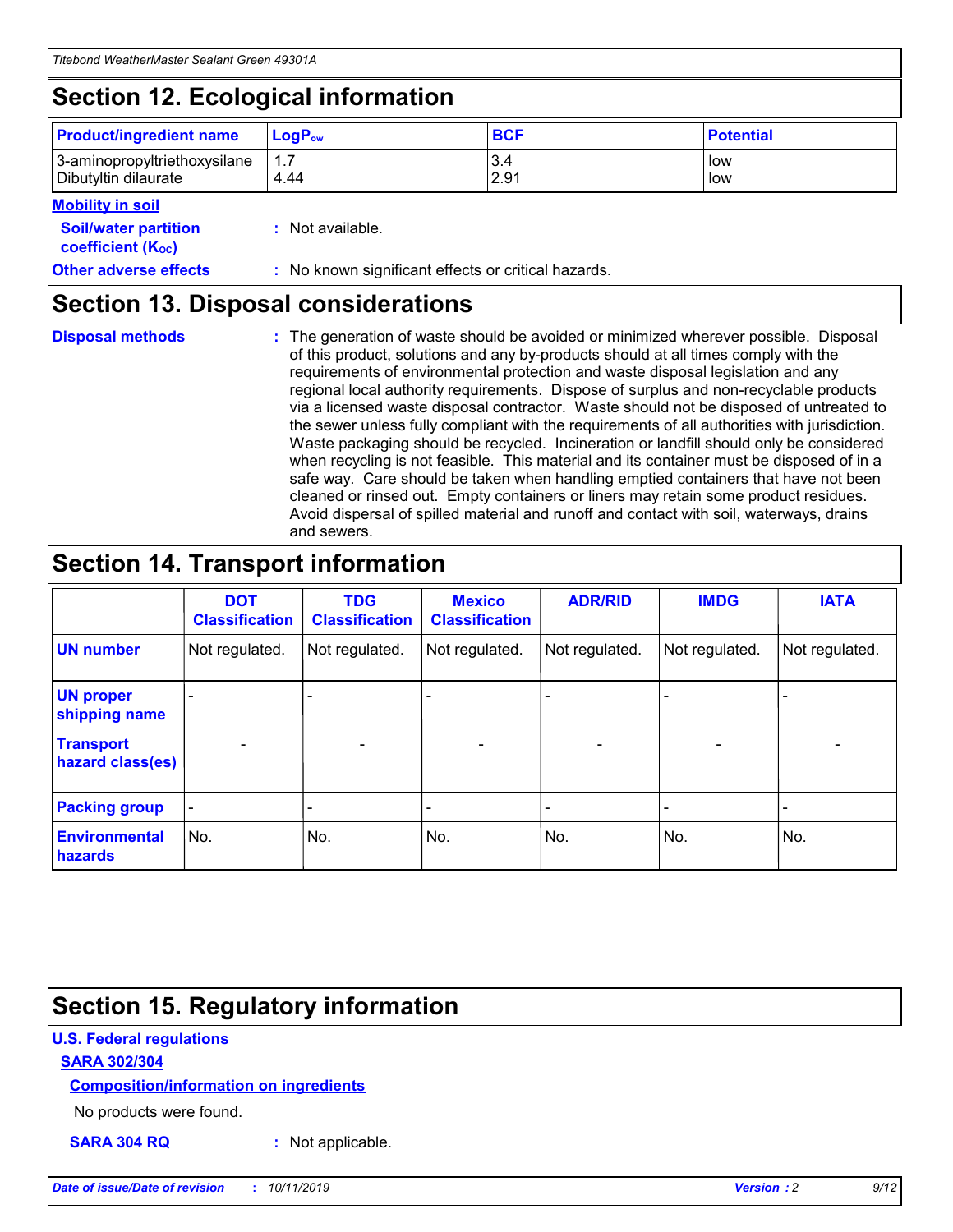## **Section 12. Ecological information**

| <b>Product/ingredient name</b> | $LoaPow$ | <b>BCF</b> | <b>Potential</b> |
|--------------------------------|----------|------------|------------------|
| 3-aminopropyltriethoxysilane   | 1.7      | 3.4        | low              |
| Dibutyltin dilaurate           | 4.44     | 2.91       | low              |

#### **Mobility in soil**

| <b>Soil/water partition</b><br>coefficient (K <sub>oc</sub> ) | : Not available.                                    |
|---------------------------------------------------------------|-----------------------------------------------------|
| <b>Other adverse effects</b>                                  | : No known significant effects or critical hazards. |

### **Section 13. Disposal considerations**

**Disposal methods :**

The generation of waste should be avoided or minimized wherever possible. Disposal of this product, solutions and any by-products should at all times comply with the requirements of environmental protection and waste disposal legislation and any regional local authority requirements. Dispose of surplus and non-recyclable products via a licensed waste disposal contractor. Waste should not be disposed of untreated to the sewer unless fully compliant with the requirements of all authorities with jurisdiction. Waste packaging should be recycled. Incineration or landfill should only be considered when recycling is not feasible. This material and its container must be disposed of in a safe way. Care should be taken when handling emptied containers that have not been cleaned or rinsed out. Empty containers or liners may retain some product residues. Avoid dispersal of spilled material and runoff and contact with soil, waterways, drains and sewers.

## **Section 14. Transport information**

|                                      | <b>DOT</b><br><b>Classification</b> | <b>TDG</b><br><b>Classification</b> | <b>Mexico</b><br><b>Classification</b> | <b>ADR/RID</b>           | <b>IMDG</b>              | <b>IATA</b>    |
|--------------------------------------|-------------------------------------|-------------------------------------|----------------------------------------|--------------------------|--------------------------|----------------|
| <b>UN number</b>                     | Not regulated.                      | Not regulated.                      | Not regulated.                         | Not regulated.           | Not regulated.           | Not regulated. |
| <b>UN proper</b><br>shipping name    | $\blacksquare$                      |                                     |                                        |                          |                          |                |
| <b>Transport</b><br>hazard class(es) | $\blacksquare$                      | $\overline{\phantom{a}}$            | $\overline{\phantom{a}}$               | $\overline{\phantom{a}}$ | $\overline{\phantom{a}}$ | $\blacksquare$ |
| <b>Packing group</b>                 | $\overline{\phantom{a}}$            | -                                   | -                                      | -                        |                          | -              |
| <b>Environmental</b><br>hazards      | No.                                 | No.                                 | No.                                    | No.                      | No.                      | No.            |

## **Section 15. Regulatory information**

#### **U.S. Federal regulations**

#### **SARA 302/304**

#### **Composition/information on ingredients**

No products were found.

**SARA 304 RQ :** Not applicable.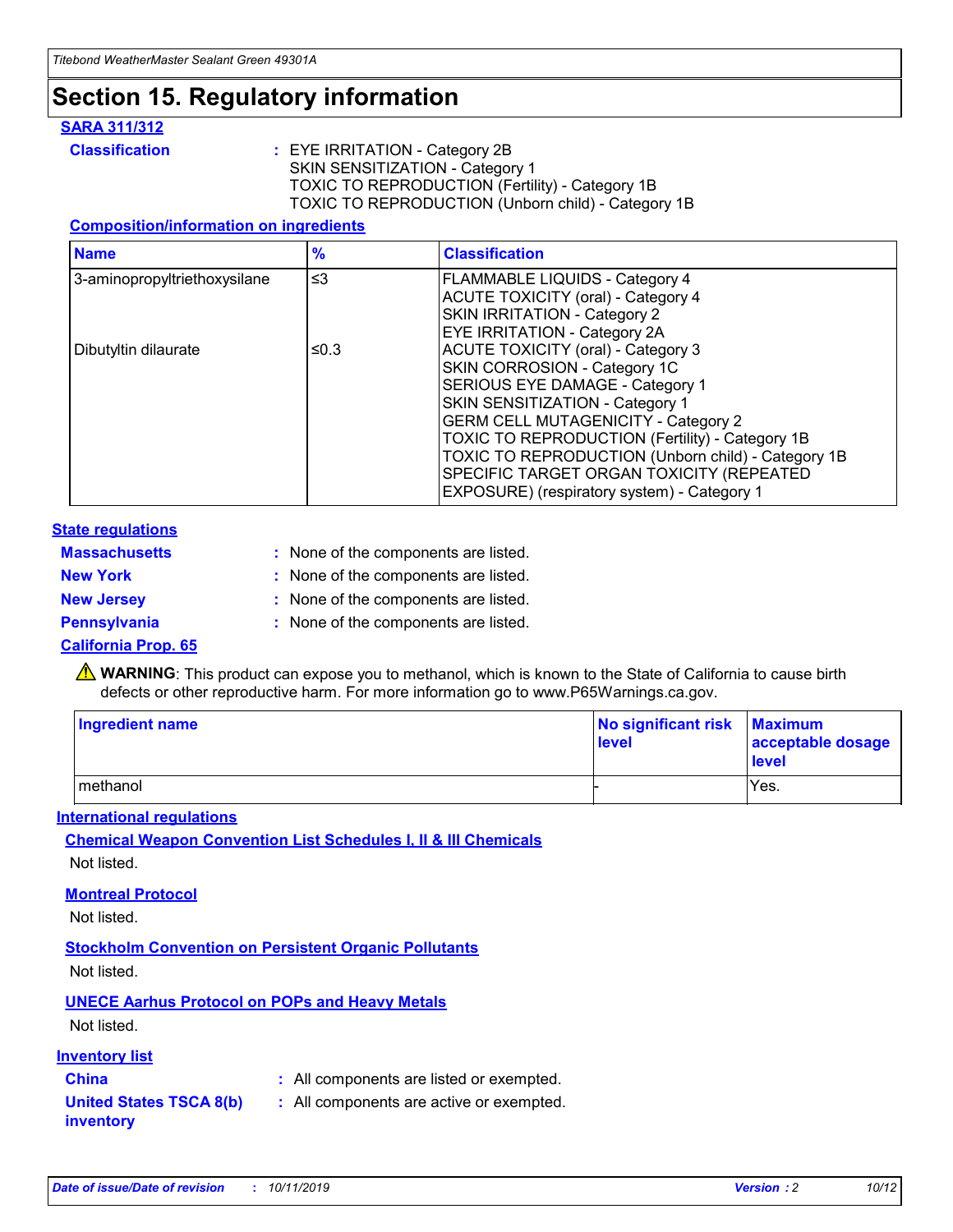### **Section 15. Regulatory information**

#### **SARA 311/312**

**Classification :** EYE IRRITATION - Category 2B SKIN SENSITIZATION - Category 1 TOXIC TO REPRODUCTION (Fertility) - Category 1B TOXIC TO REPRODUCTION (Unborn child) - Category 1B

#### **Composition/information on ingredients**

| <b>Name</b>                  | $\frac{9}{6}$ | <b>Classification</b>                                                                                            |
|------------------------------|---------------|------------------------------------------------------------------------------------------------------------------|
| 3-aminopropyltriethoxysilane | $\leq$ 3      | <b>FLAMMABLE LIQUIDS - Category 4</b><br><b>ACUTE TOXICITY (oral) - Category 4</b>                               |
|                              |               | SKIN IRRITATION - Category 2<br>EYE IRRITATION - Category 2A                                                     |
| Dibutyltin dilaurate         | ≤0.3          | ACUTE TOXICITY (oral) - Category 3<br>SKIN CORROSION - Category 1C                                               |
|                              |               | SERIOUS EYE DAMAGE - Category 1<br>SKIN SENSITIZATION - Category 1<br><b>GERM CELL MUTAGENICITY - Category 2</b> |
|                              |               | TOXIC TO REPRODUCTION (Fertility) - Category 1B<br>TOXIC TO REPRODUCTION (Unborn child) - Category 1B            |
|                              |               | SPECIFIC TARGET ORGAN TOXICITY (REPEATED<br>EXPOSURE) (respiratory system) - Category 1                          |

#### **State regulations**

| <b>Massachusetts</b> | : None of the components are listed. |
|----------------------|--------------------------------------|
| <b>New York</b>      | : None of the components are listed. |
| <b>New Jersey</b>    | : None of the components are listed. |
| <b>Pennsylvania</b>  | : None of the components are listed. |

#### **California Prop. 65**

**A** WARNING: This product can expose you to methanol, which is known to the State of California to cause birth defects or other reproductive harm. For more information go to www.P65Warnings.ca.gov.

| <b>Ingredient name</b> | No significant risk Maximum<br>level | acceptable dosage<br>level |
|------------------------|--------------------------------------|----------------------------|
| methanol               |                                      | Yes.                       |

#### **International regulations**

**Chemical Weapon Convention List Schedules I, II & III Chemicals** Not listed.

#### **Montreal Protocol**

Not listed.

#### **Stockholm Convention on Persistent Organic Pollutants**

Not listed.

### **UNECE Aarhus Protocol on POPs and Heavy Metals**

Not listed.

#### **Inventory list**

### **China :** All components are listed or exempted.

**United States TSCA 8(b) inventory :** All components are active or exempted.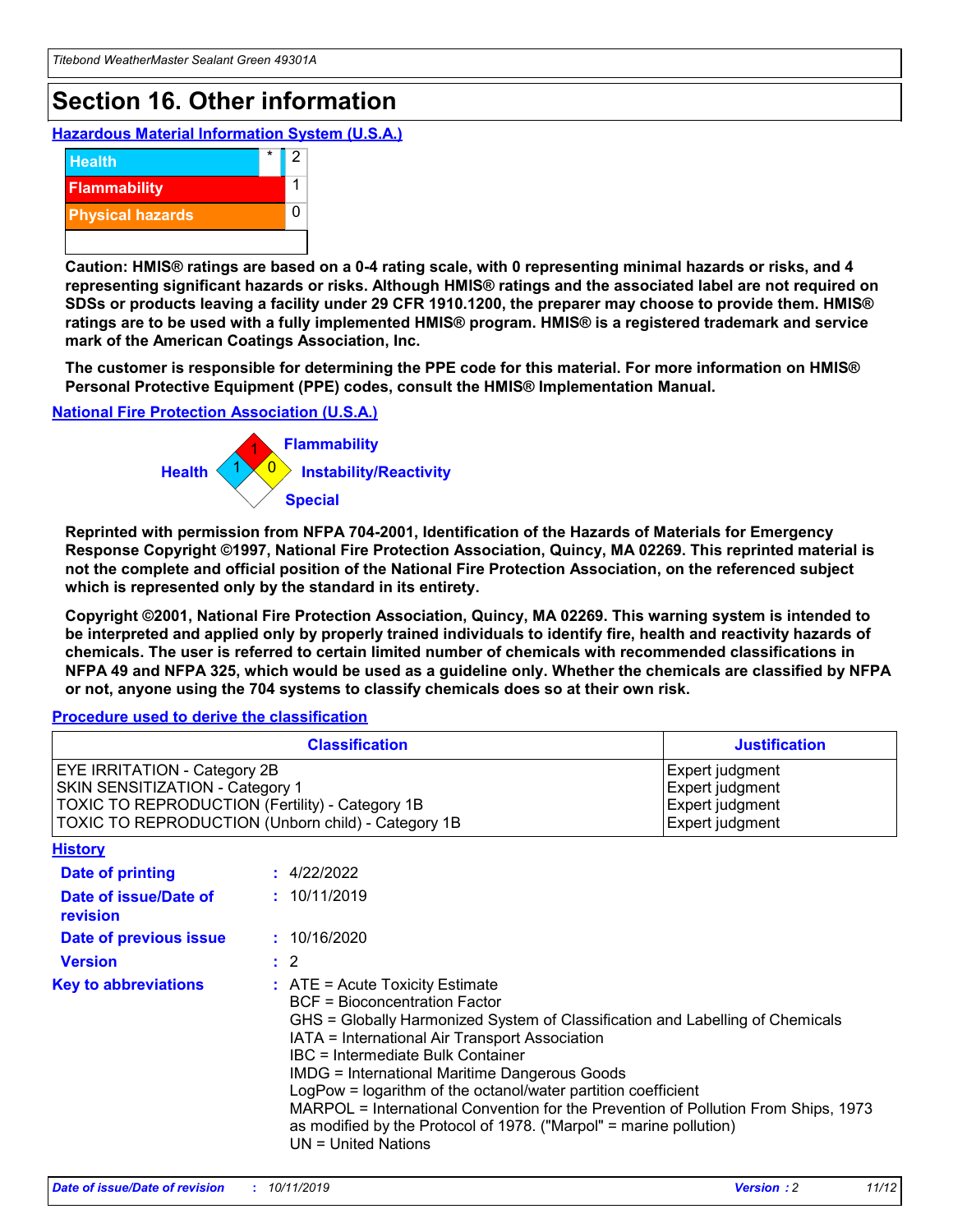## **Section 16. Other information**

**Hazardous Material Information System (U.S.A.)**



**Caution: HMIS® ratings are based on a 0-4 rating scale, with 0 representing minimal hazards or risks, and 4 representing significant hazards or risks. Although HMIS® ratings and the associated label are not required on SDSs or products leaving a facility under 29 CFR 1910.1200, the preparer may choose to provide them. HMIS® ratings are to be used with a fully implemented HMIS® program. HMIS® is a registered trademark and service mark of the American Coatings Association, Inc.**

**The customer is responsible for determining the PPE code for this material. For more information on HMIS® Personal Protective Equipment (PPE) codes, consult the HMIS® Implementation Manual.**

#### **National Fire Protection Association (U.S.A.)**



**Reprinted with permission from NFPA 704-2001, Identification of the Hazards of Materials for Emergency Response Copyright ©1997, National Fire Protection Association, Quincy, MA 02269. This reprinted material is not the complete and official position of the National Fire Protection Association, on the referenced subject which is represented only by the standard in its entirety.**

**Copyright ©2001, National Fire Protection Association, Quincy, MA 02269. This warning system is intended to be interpreted and applied only by properly trained individuals to identify fire, health and reactivity hazards of chemicals. The user is referred to certain limited number of chemicals with recommended classifications in NFPA 49 and NFPA 325, which would be used as a guideline only. Whether the chemicals are classified by NFPA or not, anyone using the 704 systems to classify chemicals does so at their own risk.**

#### **Procedure used to derive the classification**

| <b>Classification</b>                                                                                                                                                    |                                                                                                                                                                                                                                                                                                                                                                                                                                                                                                                                                               | <b>Justification</b>                                                     |
|--------------------------------------------------------------------------------------------------------------------------------------------------------------------------|---------------------------------------------------------------------------------------------------------------------------------------------------------------------------------------------------------------------------------------------------------------------------------------------------------------------------------------------------------------------------------------------------------------------------------------------------------------------------------------------------------------------------------------------------------------|--------------------------------------------------------------------------|
| EYE IRRITATION - Category 2B<br>SKIN SENSITIZATION - Category 1<br>TOXIC TO REPRODUCTION (Fertility) - Category 1B<br>TOXIC TO REPRODUCTION (Unborn child) - Category 1B |                                                                                                                                                                                                                                                                                                                                                                                                                                                                                                                                                               | Expert judgment<br>Expert judgment<br>Expert judgment<br>Expert judgment |
| <b>History</b>                                                                                                                                                           |                                                                                                                                                                                                                                                                                                                                                                                                                                                                                                                                                               |                                                                          |
| Date of printing                                                                                                                                                         | : 4/22/2022                                                                                                                                                                                                                                                                                                                                                                                                                                                                                                                                                   |                                                                          |
| Date of issue/Date of<br>revision                                                                                                                                        | : 10/11/2019                                                                                                                                                                                                                                                                                                                                                                                                                                                                                                                                                  |                                                                          |
| Date of previous issue                                                                                                                                                   | : 10/16/2020                                                                                                                                                                                                                                                                                                                                                                                                                                                                                                                                                  |                                                                          |
| <b>Version</b>                                                                                                                                                           | $\therefore$ 2                                                                                                                                                                                                                                                                                                                                                                                                                                                                                                                                                |                                                                          |
| <b>Key to abbreviations</b>                                                                                                                                              | $:$ ATE = Acute Toxicity Estimate<br><b>BCF</b> = Bioconcentration Factor<br>GHS = Globally Harmonized System of Classification and Labelling of Chemicals<br>IATA = International Air Transport Association<br>IBC = Intermediate Bulk Container<br><b>IMDG = International Maritime Dangerous Goods</b><br>LogPow = logarithm of the octanol/water partition coefficient<br>MARPOL = International Convention for the Prevention of Pollution From Ships, 1973<br>as modified by the Protocol of 1978. ("Marpol" = marine pollution)<br>UN = United Nations |                                                                          |